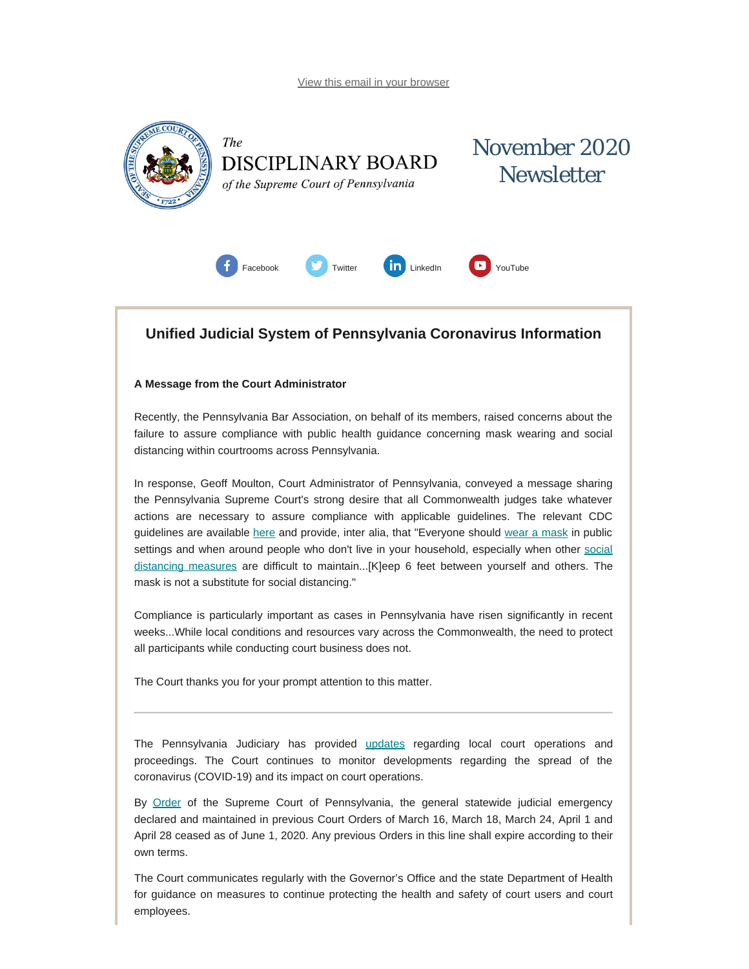<span id="page-0-0"></span>

### **Unified Judicial System of Pennsylvania Coronavirus Information**

#### **A Message from the Court Administrator**

Recently, the Pennsylvania Bar Association, on behalf of its members, raised concerns about the failure to assure compliance with public health guidance concerning mask wearing and social distancing within courtrooms across Pennsylvania.

In response, Geoff Moulton, Court Administrator of Pennsylvania, conveyed a message sharing the Pennsylvania Supreme Court's strong desire that all Commonwealth judges take whatever actions are necessary to assure compliance with applicable guidelines. The relevant CDC guidelines are available [here](https://www.cdc.gov/coronavirus/2019-ncov/prevent-getting-sick/prevention.html) and provide, inter alia, that "Everyone should [wear a mask](https://www.cdc.gov/coronavirus/2019-ncov/prevent-getting-sick/diy-cloth-face-coverings.html) in public settings and when around people who don't live in your household, especially when other [social](https://www.cdc.gov/coronavirus/2019-ncov/prevent-getting-sick/social-distancing.html) [distancing](https://www.cdc.gov/coronavirus/2019-ncov/prevent-getting-sick/social-distancing.html) measures are difficult to maintain...[K]eep 6 feet between yourself and others. The mask is not a substitute for social distancing."

Compliance is particularly important as cases in Pennsylvania have risen significantly in recent weeks...While local conditions and resources vary across the Commonwealth, the need to protect all participants while conducting court business does not.

The Court thanks you for your prompt attention to this matter.

The Pennsylvania Judiciary has provided [updates](http://www.pacourts.us/ujs-coronavirus-information) regarding local court operations and proceedings. The Court continues to monitor developments regarding the spread of the coronavirus (COVID-19) and its impact on court operations.

By [Order](http://www.pacourts.us/assets/files/page-1305/file-9376.pdf) of the Supreme Court of Pennsylvania, the general statewide judicial emergency declared and maintained in previous Court Orders of March 16, March 18, March 24, April 1 and April 28 ceased as of June 1, 2020. Any previous Orders in this line shall expire according to their own terms.

The Court communicates regularly with the Governor's Office and the state Department of Health for guidance on measures to continue protecting the health and safety of court users and court employees.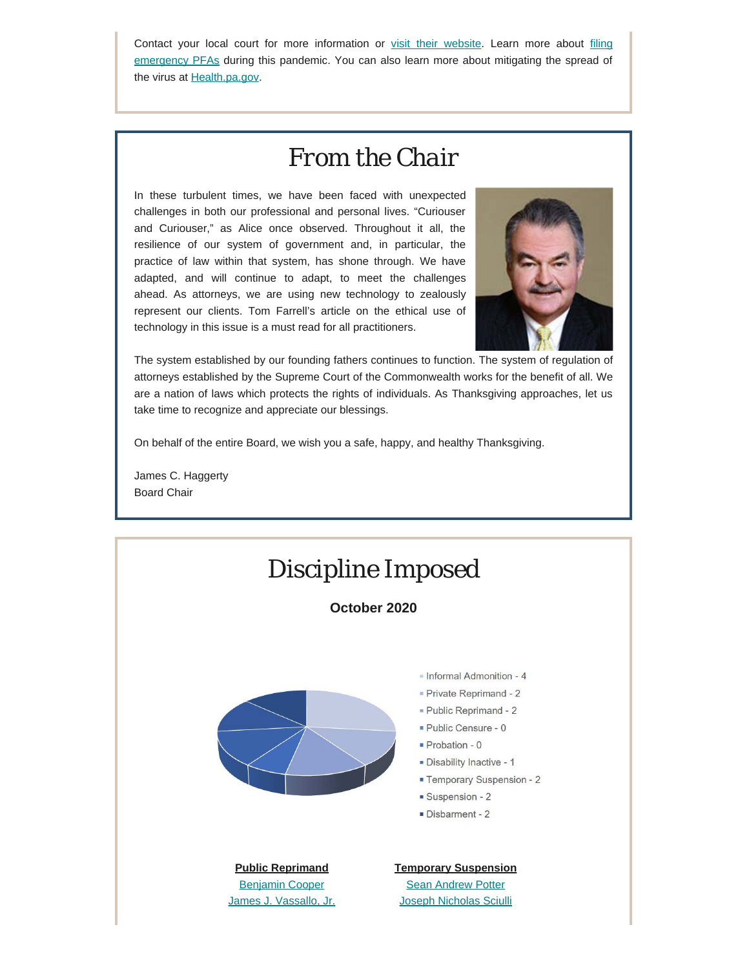Contact your local court for more information or [visit their website.](http://www.pacourts.us/courts/courts-of-common-pleas/) Learn more about [filing](http://www.pacourts.us/learn/protection-orders) [emergency PFAs](http://www.pacourts.us/learn/protection-orders) during this pandemic. You can also learn more about mitigating the spread of the virus at [Health.pa.gov.](https://www.health.pa.gov/topics/disease/Pages/Coronavirus.aspx)

# *From the Chair*

In these turbulent times, we have been faced with unexpected challenges in both our professional and personal lives. "Curiouser and Curiouser," as Alice once observed. Throughout it all, the resilience of our system of government and, in particular, the practice of law within that system, has shone through. We have adapted, and will continue to adapt, to meet the challenges ahead. As attorneys, we are using new technology to zealously represent our clients. Tom Farrell's article on the ethical use of technology in this issue is a must read for all practitioners.



The system established by our founding fathers continues to function. The system of regulation of attorneys established by the Supreme Court of the Commonwealth works for the benefit of all. We are a nation of laws which protects the rights of individuals. As Thanksgiving approaches, let us take time to recognize and appreciate our blessings.

On behalf of the entire Board, we wish you a safe, happy, and healthy Thanksgiving.

James C. Haggerty Board Chair

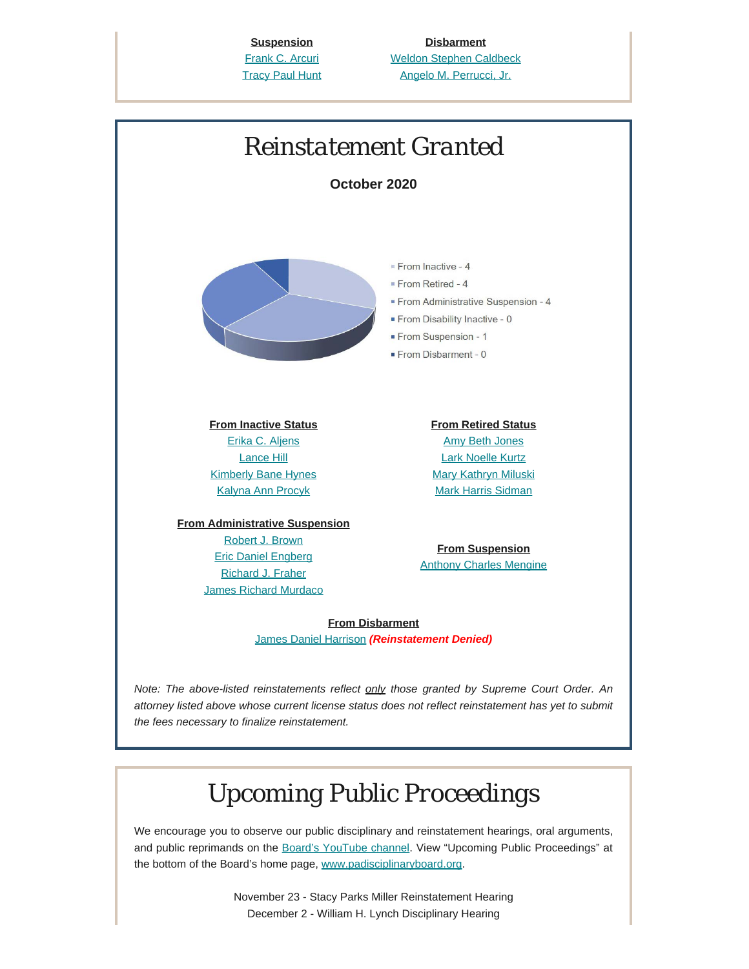**Suspension** [Frank C. Arcuri](https://www.padisciplinaryboard.org/for-the-public/find-attorney/attorney-detail/21317) **[Tracy Paul Hunt](https://www.padisciplinaryboard.org/for-the-public/find-attorney/attorney-detail/80158)** 

**Disbarment** [Weldon Stephen Caldbeck](https://www.padisciplinaryboard.org/for-the-public/find-attorney/attorney-detail/32027) [Angelo M. Perrucci, Jr.](https://www.padisciplinaryboard.org/for-the-public/find-attorney/attorney-detail/56546)



We encourage you to observe our public disciplinary and reinstatement hearings, oral arguments, and public reprimands on the [Board's YouTube channel.](https://www.youtube.com/channel/UC7Rzfgcm91b2y3TRTXAViHw) View "Upcoming Public Proceedings" at the bottom of the Board's home page, [www.padisciplinaryboard.org.](https://www.padisciplinaryboard.org/)

> November 23 - Stacy Parks Miller Reinstatement Hearing December 2 - William H. Lynch Disciplinary Hearing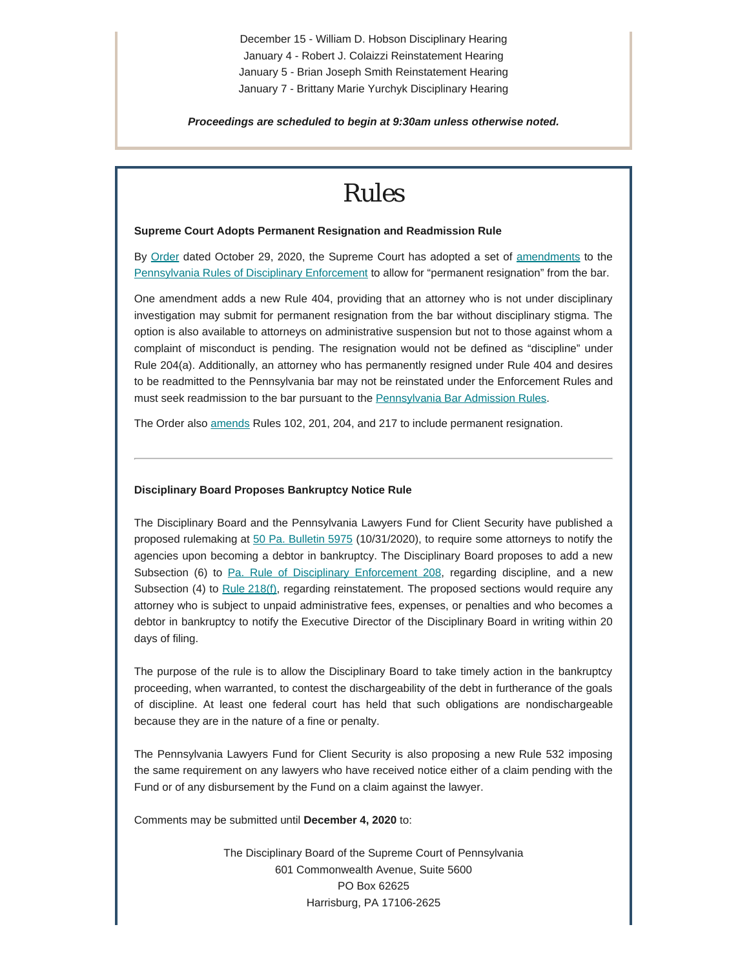December 15 - William D. Hobson Disciplinary Hearing January 4 - Robert J. Colaizzi Reinstatement Hearing January 5 - Brian Joseph Smith Reinstatement Hearing January 7 - Brittany Marie Yurchyk Disciplinary Hearing

*Proceedings are scheduled to begin at 9:30am unless otherwise noted.*

### *Rules*

#### **Supreme Court Adopts Permanent Resignation and Readmission Rule**

By [Order](http://www.pacourts.us/assets/opinions/Supreme/out/Order%20Entered%20-%20104589666118298966.pdf?cb=1) dated October 29, 2020, the Supreme Court has adopted a set of [amendments](http://www.pacourts.us/assets/opinions/Supreme/out/Attachment%20-%20104589666118298899.pdf?cb=1) to the [Pennsylvania Rules of Disciplinary Enforcement](https://www.padisciplinaryboard.org/for-attorneys/rules/rule/5/the-pennsylvania-rules-of-disciplinary-enforcement) to allow for "permanent resignation" from the bar.

One amendment adds a new Rule 404, providing that an attorney who is not under disciplinary investigation may submit for permanent resignation from the bar without disciplinary stigma. The option is also available to attorneys on administrative suspension but not to those against whom a complaint of misconduct is pending. The resignation would not be defined as "discipline" under Rule 204(a). Additionally, an attorney who has permanently resigned under Rule 404 and desires to be readmitted to the Pennsylvania bar may not be reinstated under the Enforcement Rules and must seek readmission to the bar pursuant to the [Pennsylvania Bar Admission Rules.](https://www.pabarexam.org/bar_admission_rules/rulesmenu.htm)

The Order also [amends](http://www.pacourts.us/assets/opinions/Supreme/out/Attachment%20-%20104589666118298899.pdf?cb=1) Rules 102, 201, 204, and 217 to include permanent resignation.

#### **Disciplinary Board Proposes Bankruptcy Notice Rule**

The Disciplinary Board and the Pennsylvania Lawyers Fund for Client Security have published a proposed rulemaking at [50 Pa. Bulletin 5975](http://www.pacodeandbulletin.gov/Display/pabull?file=/secure/pabulletin/data/vol50/50-44/1484.html) (10/31/2020), to require some attorneys to notify the agencies upon becoming a debtor in bankruptcy. The Disciplinary Board proposes to add a new Subsection (6) to [Pa. Rule of Disciplinary Enforcement 208](https://www.padisciplinaryboard.org/for-attorneys/rules/rule/5/the-pennsylvania-rules-of-disciplinary-enforcement#rule-24), regarding discipline, and a new Subsection (4) to [Rule 218\(f\)](https://www.padisciplinaryboard.org/for-attorneys/rules/rule/5/the-pennsylvania-rules-of-disciplinary-enforcement#rule-34), regarding reinstatement. The proposed sections would require any attorney who is subject to unpaid administrative fees, expenses, or penalties and who becomes a debtor in bankruptcy to notify the Executive Director of the Disciplinary Board in writing within 20 days of filing.

The purpose of the rule is to allow the Disciplinary Board to take timely action in the bankruptcy proceeding, when warranted, to contest the dischargeability of the debt in furtherance of the goals of discipline. At least one federal court has held that such obligations are nondischargeable because they are in the nature of a fine or penalty.

The Pennsylvania Lawyers Fund for Client Security is also proposing a new Rule 532 imposing the same requirement on any lawyers who have received notice either of a claim pending with the Fund or of any disbursement by the Fund on a claim against the lawyer.

Comments may be submitted until **December 4, 2020** to:

The Disciplinary Board of the Supreme Court of Pennsylvania 601 Commonwealth Avenue, Suite 5600 PO Box 62625 Harrisburg, PA 17106-2625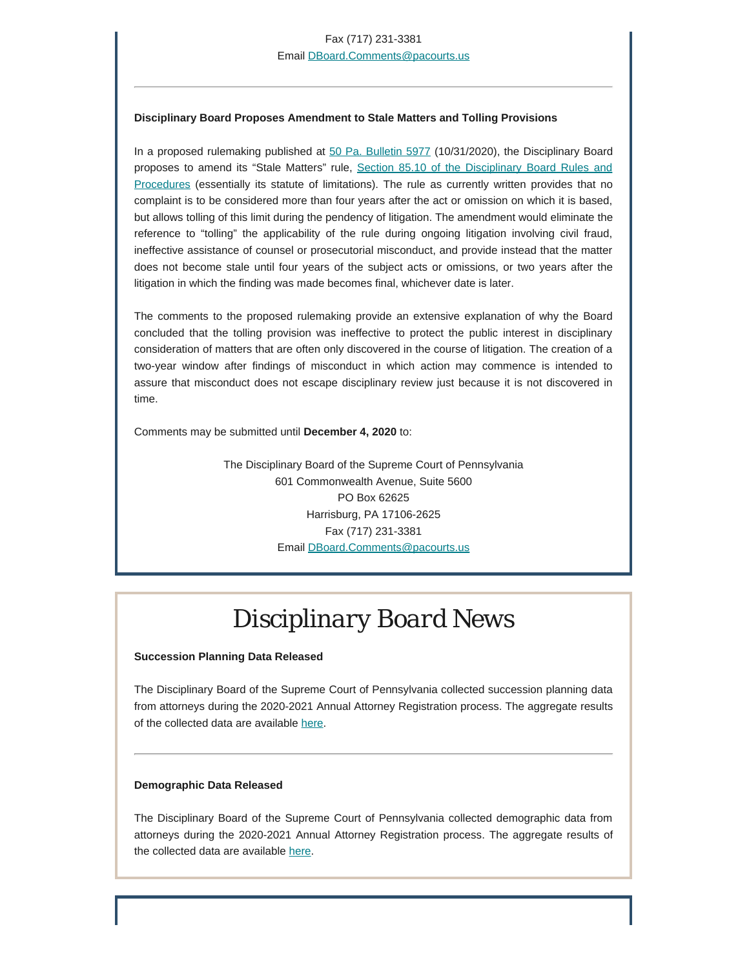#### **Disciplinary Board Proposes Amendment to Stale Matters and Tolling Provisions**

In a proposed rulemaking published at [50 Pa. Bulletin 5977](http://www.pacodeandbulletin.gov/Display/pabull?file=/secure/pabulletin/data/vol50/50-44/1485.html) (10/31/2020), the Disciplinary Board proposes to amend its "Stale Matters" rule, [Section 85.10 of the Disciplinary Board Rules and](https://www.padisciplinaryboard.org/for-attorneys/rules/rule/7/disciplinary-board-rules-and-procedures#rule-77) [Procedures](https://www.padisciplinaryboard.org/for-attorneys/rules/rule/7/disciplinary-board-rules-and-procedures#rule-77) (essentially its statute of limitations). The rule as currently written provides that no complaint is to be considered more than four years after the act or omission on which it is based, but allows tolling of this limit during the pendency of litigation. The amendment would eliminate the reference to "tolling" the applicability of the rule during ongoing litigation involving civil fraud, ineffective assistance of counsel or prosecutorial misconduct, and provide instead that the matter does not become stale until four years of the subject acts or omissions, or two years after the litigation in which the finding was made becomes final, whichever date is later.

The comments to the proposed rulemaking provide an extensive explanation of why the Board concluded that the tolling provision was ineffective to protect the public interest in disciplinary consideration of matters that are often only discovered in the course of litigation. The creation of a two-year window after findings of misconduct in which action may commence is intended to assure that misconduct does not escape disciplinary review just because it is not discovered in time.

Comments may be submitted until **December 4, 2020** to:

The Disciplinary Board of the Supreme Court of Pennsylvania 601 Commonwealth Avenue, Suite 5600 PO Box 62625 Harrisburg, PA 17106-2625 Fax (717) 231-3381 Email [DBoard.Comments@pacourts.us](mailto:Dboard.comments@pacourts.us)

# *Disciplinary Board News*

### **Succession Planning Data Released**

The Disciplinary Board of the Supreme Court of Pennsylvania collected succession planning data from attorneys during the 2020-2021 Annual Attorney Registration process. The aggregate results of the collected data are available [here](https://www.padisciplinaryboard.org/Storage/media/pdfs/20201020/132555-successionplanningdatapublicrelease-2020.10.16.pdf).

#### **Demographic Data Released**

The Disciplinary Board of the Supreme Court of Pennsylvania collected demographic data from attorneys during the 2020-2021 Annual Attorney Registration process. The aggregate results of the collected data are available [here](https://www.padisciplinaryboard.org/Storage/media/pdfs/20201020/163155-diversitydatapublicrelease-2020.10.16.pdf).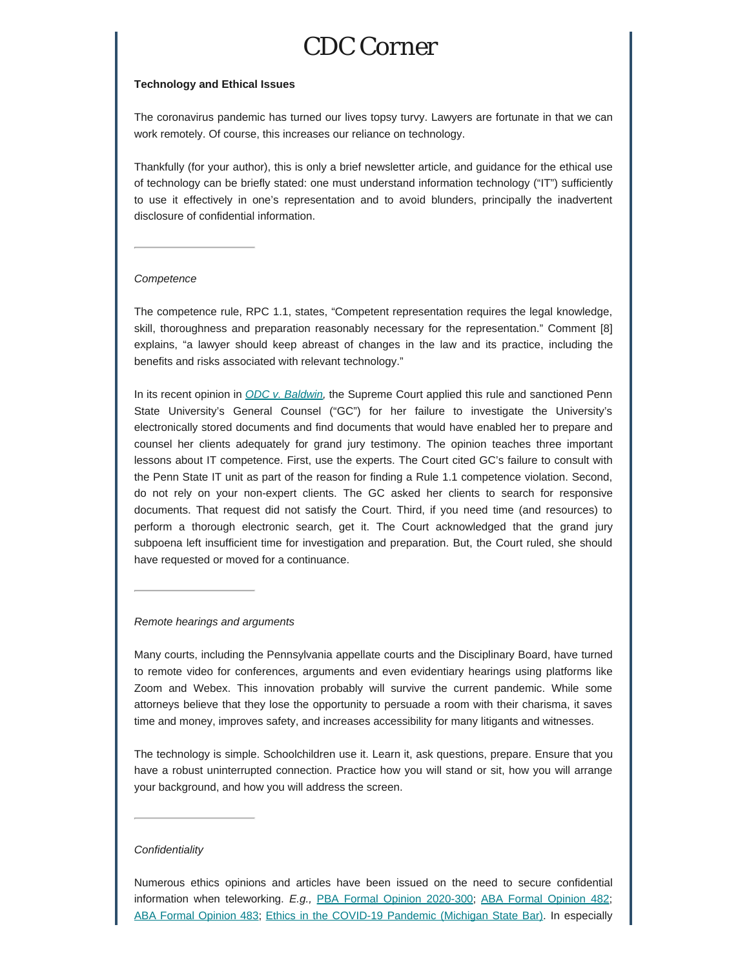### *CDC Corner*

#### **Technology and Ethical Issues**

The coronavirus pandemic has turned our lives topsy turvy. Lawyers are fortunate in that we can work remotely. Of course, this increases our reliance on technology.

Thankfully (for your author), this is only a brief newsletter article, and guidance for the ethical use of technology can be briefly stated: one must understand information technology ("IT") sufficiently to use it effectively in one's representation and to avoid blunders, principally the inadvertent disclosure of confidential information.

#### *Competence*

The competence rule, RPC 1.1, states, "Competent representation requires the legal knowledge, skill, thoroughness and preparation reasonably necessary for the representation." Comment [8] explains, "a lawyer should keep abreast of changes in the law and its practice, including the benefits and risks associated with relevant technology."

In its recent opinion in *[ODC v. Baldwin](http://www.pacourts.us/assets/opinions/Supreme/out/J-63-2019MO.pdf?cb=1),* the Supreme Court applied this rule and sanctioned Penn State University's General Counsel ("GC") for her failure to investigate the University's electronically stored documents and find documents that would have enabled her to prepare and counsel her clients adequately for grand jury testimony. The opinion teaches three important lessons about IT competence. First, use the experts. The Court cited GC's failure to consult with the Penn State IT unit as part of the reason for finding a Rule 1.1 competence violation. Second, do not rely on your non-expert clients. The GC asked her clients to search for responsive documents. That request did not satisfy the Court. Third, if you need time (and resources) to perform a thorough electronic search, get it. The Court acknowledged that the grand jury subpoena left insufficient time for investigation and preparation. But, the Court ruled, she should have requested or moved for a continuance.

#### *Remote hearings and arguments*

Many courts, including the Pennsylvania appellate courts and the Disciplinary Board, have turned to remote video for conferences, arguments and even evidentiary hearings using platforms like Zoom and Webex. This innovation probably will survive the current pandemic. While some attorneys believe that they lose the opportunity to persuade a room with their charisma, it saves time and money, improves safety, and increases accessibility for many litigants and witnesses.

The technology is simple. Schoolchildren use it. Learn it, ask questions, prepare. Ensure that you have a robust uninterrupted connection. Practice how you will stand or sit, how you will arrange your background, and how you will address the screen.

#### *Confidentiality*

Numerous ethics opinions and articles have been issued on the need to secure confidential information when teleworking. *E.g.,* [PBA Formal Opinion 2020-300;](http://www.pabar.org/members/catalogs/Ethics%20Opinions/formal/F2020-300.pdf) [ABA Formal Opinion 482](https://www.americanbar.org/content/dam/aba/administrative/professional_responsibility/aba_formal_opinion_482.pdf); [ABA Formal Opinion 483](https://www.americanbar.org/content/dam/aba/administrative/professional_responsibility/aba_formal_op_483.pdf); [Ethics in the COVID-19 Pandemic \(Michigan State Bar\)](https://www.michbar.org/opinions/ethics/COVID-19). In especially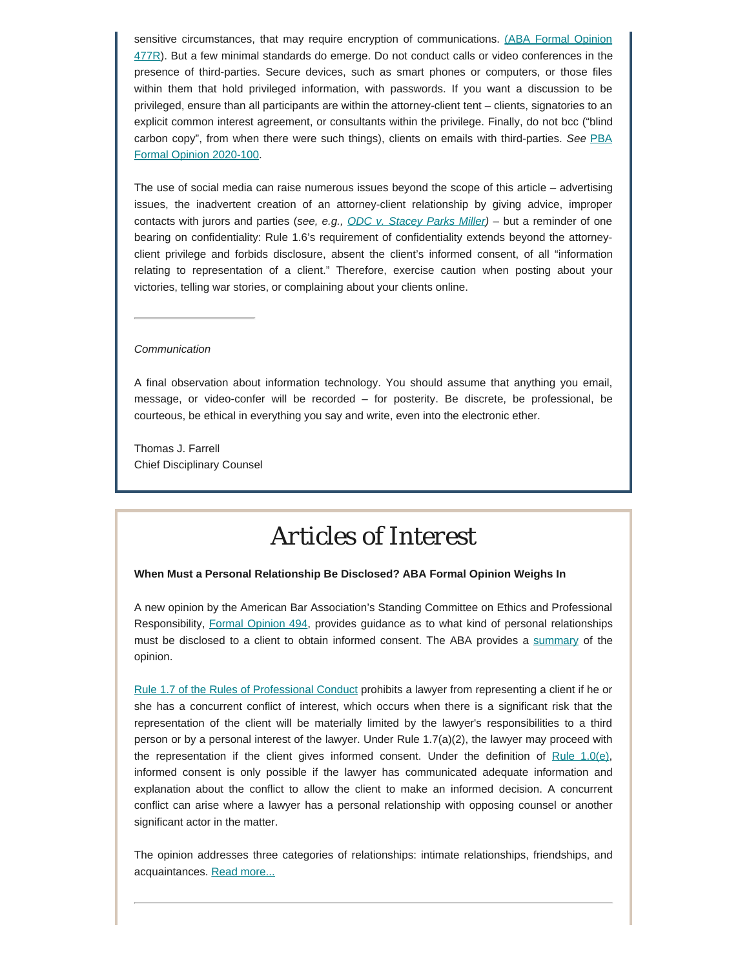sensitive circumstances, that may require encryption of communications. [\(ABA Formal Opinion](https://www.americanbar.org/content/dam/aba/administrative/professional_responsibility/aba_formal_opinion_477.pdf) [477R](https://www.americanbar.org/content/dam/aba/administrative/professional_responsibility/aba_formal_opinion_477.pdf)). But a few minimal standards do emerge. Do not conduct calls or video conferences in the presence of third-parties. Secure devices, such as smart phones or computers, or those files within them that hold privileged information, with passwords. If you want a discussion to be privileged, ensure than all participants are within the attorney-client tent – clients, signatories to an explicit common interest agreement, or consultants within the privilege. Finally, do not bcc ("blind carbon copy", from when there were such things), clients on emails with third-parties. *See* [PBA](http://www.pabar.org/site/Portals/0/Ethics%20Opinions/Formal/F2020-100.pdf?ver=2020-04-07-075928-177) [Formal Opinion 2020-100.](http://www.pabar.org/site/Portals/0/Ethics%20Opinions/Formal/F2020-100.pdf?ver=2020-04-07-075928-177)

The use of social media can raise numerous issues beyond the scope of this article – advertising issues, the inadvertent creation of an attorney-client relationship by giving advice, improper contacts with jurors and parties (*see, e.g., [ODC v. Stacey Parks Miller\)](http://www.pacourts.us/assets/opinions/DisciplinaryBoard/out/32DB2017-Miller.pdf?cb=1)* – but a reminder of one bearing on confidentiality: Rule 1.6's requirement of confidentiality extends beyond the attorneyclient privilege and forbids disclosure, absent the client's informed consent, of all "information relating to representation of a client." Therefore, exercise caution when posting about your victories, telling war stories, or complaining about your clients online.

#### *Communication*

A final observation about information technology. You should assume that anything you email, message, or video-confer will be recorded – for posterity. Be discrete, be professional, be courteous, be ethical in everything you say and write, even into the electronic ether.

Thomas J. Farrell Chief Disciplinary Counsel

# *Articles of Interest*

#### **When Must a Personal Relationship Be Disclosed? ABA Formal Opinion Weighs In**

A new opinion by the American Bar Association's Standing Committee on Ethics and Professional Responsibility, [Formal Opinion 494](https://www.americanbar.org/content/dam/aba/administrative/professional_responsibility/aba-formal-opinion-494.pdf), provides guidance as to what kind of personal relationships must be disclosed to a client to obtain informed consent. The ABA provides a [summary](https://www.americanbar.org/news/abanews/aba-news-archives/2020/10/aba-issues-new-guidance-for-lawyers-to-navigate-conflicts-based-/) of the opinion.

[Rule 1.7 of the Rules of Professional Conduct](https://www.padisciplinaryboard.org/for-attorneys/rules/rule/3/the-rules-of-professional-conduct#rule-148) prohibits a lawyer from representing a client if he or she has a concurrent conflict of interest, which occurs when there is a significant risk that the representation of the client will be materially limited by the lawyer's responsibilities to a third person or by a personal interest of the lawyer. Under Rule 1.7(a)(2), the lawyer may proceed with the representation if the client gives informed consent. Under the definition of Rule  $1.0(e)$ , informed consent is only possible if the lawyer has communicated adequate information and explanation about the conflict to allow the client to make an informed decision. A concurrent conflict can arise where a lawyer has a personal relationship with opposing counsel or another significant actor in the matter.

The opinion addresses three categories of relationships: intimate relationships, friendships, and acquaintances. [Read more...](https://www.padisciplinaryboard.org/news-media/news-article/1345/when-must-a-personal-relationship-be-disclosed-aba-formal-opinion-weighs-in)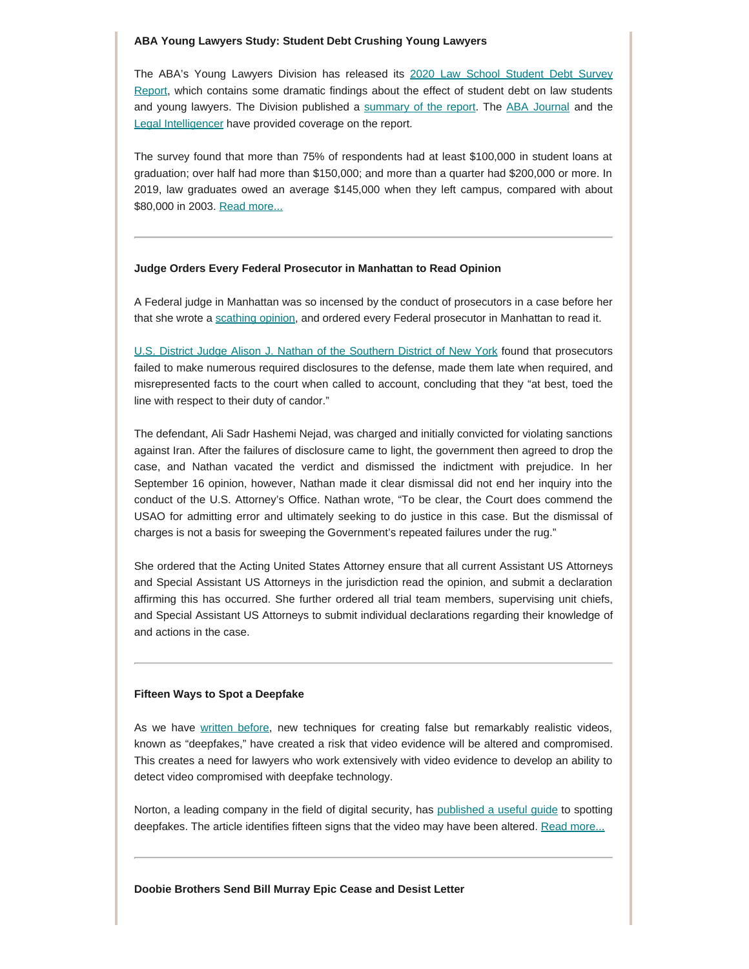#### **ABA Young Lawyers Study: Student Debt Crushing Young Lawyers**

The ABA's Young Lawyers Division has released its [2020 Law School Student Debt Survey](https://www.americanbar.org/groups/young_lawyers/student-loans/) [Report,](https://www.americanbar.org/groups/young_lawyers/student-loans/) which contains some dramatic findings about the effect of student debt on law students and young lawyers. The Division published a [summary of the report](https://www.americanbar.org/news/abanews/aba-news-archives/2020/10/survey-reveals-the-extent-and-ill-effects-of-law-student-debt--r/). The [ABA Journal](https://www.abajournal.com/news/article/law-student-debt-averages-165k-at-graduation-creating-stress-and-restricting-choices-survey-says) and the [Legal Intelligencer](https://www.law.com/thelegalintelligencer/2020/10/26/i-lie-awake-at-night-new-study-highlights-the-mental-toll-of-law-school-debt/?kw=%27I%20Lie%20Awake%20at%20Night%27New%20Study%20Highlights%20the%20Mental%20Toll%20of%20Law%20School%20Debt) have provided coverage on the report.

The survey found that more than 75% of respondents had at least \$100,000 in student loans at graduation; over half had more than \$150,000; and more than a quarter had \$200,000 or more. In 2019, law graduates owed an average \$145,000 when they left campus, compared with about \$80,000 in 2003. [Read more...](http://www.padisciplinaryboard.org/news-media/news-article/1346/aba-young-lawyers-study-student-debt-crushing-young-lawyers)

#### **Judge Orders Every Federal Prosecutor in Manhattan to Read Opinion**

A Federal judge in Manhattan was so incensed by the conduct of prosecutors in a case before her that she wrote a [scathing opinion](https://drive.google.com/file/d/1vS7SpDz8eNBrmwmP55q5SWU9w7P4Impc/view), and ordered every Federal prosecutor in Manhattan to read it.

[U.S. District Judge Alison J. Nathan of the Southern District of New York](https://www.abajournal.com/news/article/incensed-judge-orders-every-federal-prosecutor-in-manhattan-to-read-her-decision) found that prosecutors failed to make numerous required disclosures to the defense, made them late when required, and misrepresented facts to the court when called to account, concluding that they "at best, toed the line with respect to their duty of candor."

The defendant, Ali Sadr Hashemi Nejad, was charged and initially convicted for violating sanctions against Iran. After the failures of disclosure came to light, the government then agreed to drop the case, and Nathan vacated the verdict and dismissed the indictment with prejudice. In her September 16 opinion, however, Nathan made it clear dismissal did not end her inquiry into the conduct of the U.S. Attorney's Office. Nathan wrote, "To be clear, the Court does commend the USAO for admitting error and ultimately seeking to do justice in this case. But the dismissal of charges is not a basis for sweeping the Government's repeated failures under the rug."

She ordered that the Acting United States Attorney ensure that all current Assistant US Attorneys and Special Assistant US Attorneys in the jurisdiction read the opinion, and submit a declaration affirming this has occurred. She further ordered all trial team members, supervising unit chiefs, and Special Assistant US Attorneys to submit individual declarations regarding their knowledge of and actions in the case.

#### **Fifteen Ways to Spot a Deepfake**

As we have [written before](https://www.padisciplinaryboard.org/Storage/media/pdfs/20191016/200323-attorneynews10-2019.pdf), new techniques for creating false but remarkably realistic videos, known as "deepfakes," have created a risk that video evidence will be altered and compromised. This creates a need for lawyers who work extensively with video evidence to develop an ability to detect video compromised with deepfake technology.

Norton, a leading company in the field of digital security, has [published a useful guide](https://us.norton.com/internetsecurity-crm-emergingthreats-how-to-spot-deepfake-videos-15-signs-to-watch-for.html?fbclid=IwAR3ZLTjEJXoog2ou1w0LTHb-uC6x1w20R2fs4H0TdVulNBklw0xk7axQqtQ) to spotting deepfakes. The article identifies fifteen signs that the video may have been altered. [Read more...](http://www.padisciplinaryboard.org/news-media/news-article/1347/fifteen-ways-to-spot-a-deepfake)

#### **Doobie Brothers Send Bill Murray Epic Cease and Desist Letter**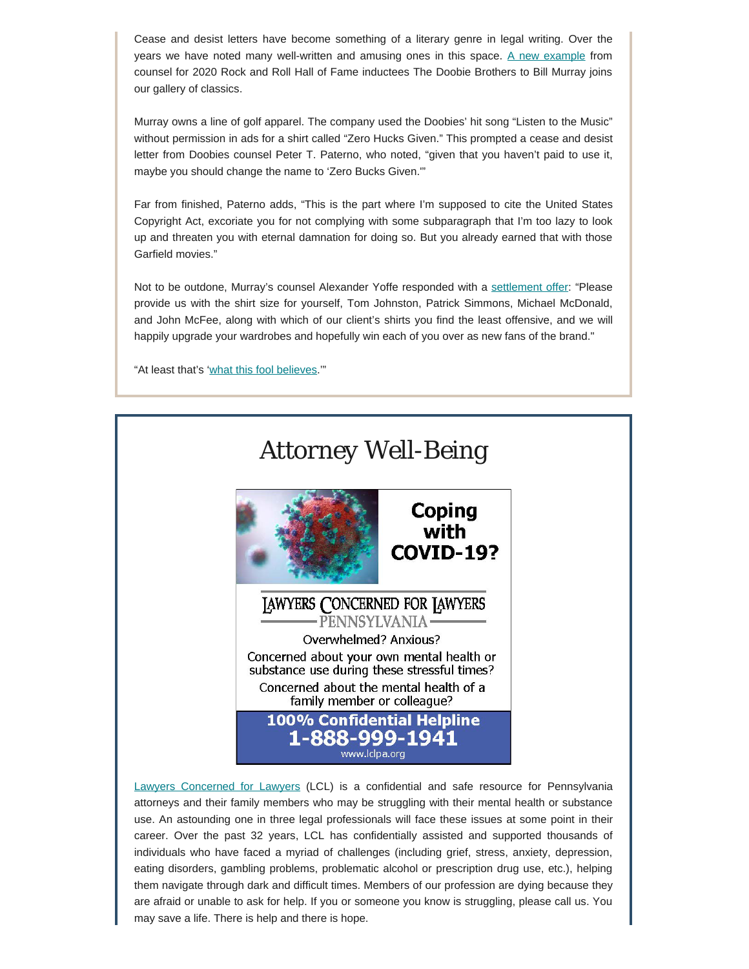Cease and desist letters have become something of a literary genre in legal writing. Over the years we have noted many well-written and amusing ones in this space. [A new example](https://consequenceofsound.net/2020/09/the-doobie-brothers-bill-murray-letter-shirt-ads/?fbclid=IwAR2muFnt8zBaDBnQvtgMtxyNKdA-5splnX82ZoLWk_Jh1nculOHeFeEP324) from counsel for 2020 Rock and Roll Hall of Fame inductees The Doobie Brothers to Bill Murray joins our gallery of classics.

Murray owns a line of golf apparel. The company used the Doobies' hit song "Listen to the Music" without permission in ads for a shirt called "Zero Hucks Given." This prompted a cease and desist letter from Doobies counsel Peter T. Paterno, who noted, "given that you haven't paid to use it, maybe you should change the name to 'Zero Bucks Given.'"

Far from finished, Paterno adds, "This is the part where I'm supposed to cite the United States Copyright Act, excoriate you for not complying with some subparagraph that I'm too lazy to look up and threaten you with eternal damnation for doing so. But you already earned that with those Garfield movies."

Not to be outdone, Murray's counsel Alexander Yoffe responded with a [settlement offer](https://consequenceofsound.net/2020/09/bill-murray-doobie-brothers-response/): "Please provide us with the shirt size for yourself, Tom Johnston, Patrick Simmons, Michael McDonald, and John McFee, along with which of our client's shirts you find the least offensive, and we will happily upgrade your wardrobes and hopefully win each of you over as new fans of the brand."

"At least that's ['what this fool believes](https://www.youtube.com/watch?v=dJe1iUuAW4M).""



[Lawyers Concerned for Lawyers](https://www.lclpa.org/) (LCL) is a confidential and safe resource for Pennsylvania attorneys and their family members who may be struggling with their mental health or substance use. An astounding one in three legal professionals will face these issues at some point in their career. Over the past 32 years, LCL has confidentially assisted and supported thousands of individuals who have faced a myriad of challenges (including grief, stress, anxiety, depression, eating disorders, gambling problems, problematic alcohol or prescription drug use, etc.), helping them navigate through dark and difficult times. Members of our profession are dying because they are afraid or unable to ask for help. If you or someone you know is struggling, please call us. You may save a life. There is help and there is hope.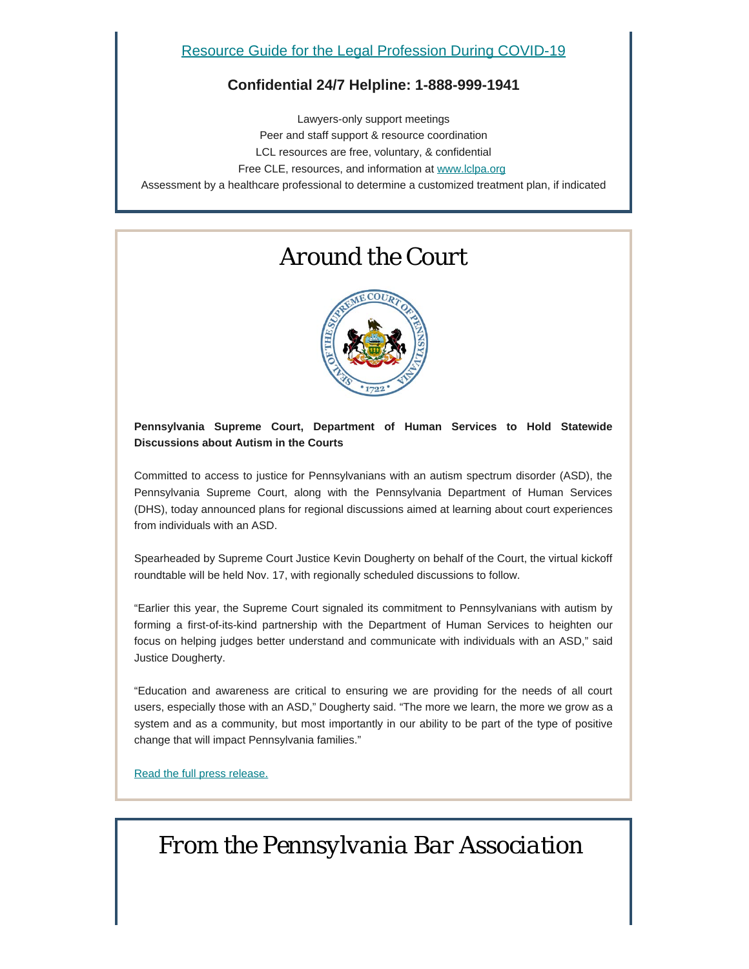### **Confidential 24/7 Helpline: 1-888-999-1941**

Lawyers-only support meetings Peer and staff support & resource coordination LCL resources are free, voluntary, & confidential Free CLE, resources, and information at [www.lclpa.org](https://www.lclpa.org/) Assessment by a healthcare professional to determine a customized treatment plan, if indicated

# *Around the Court*



### **Pennsylvania Supreme Court, Department of Human Services to Hold Statewide Discussions about Autism in the Courts**

Committed to access to justice for Pennsylvanians with an autism spectrum disorder (ASD), the Pennsylvania Supreme Court, along with the Pennsylvania Department of Human Services (DHS), today announced plans for regional discussions aimed at learning about court experiences from individuals with an ASD.

Spearheaded by Supreme Court Justice Kevin Dougherty on behalf of the Court, the virtual kickoff roundtable will be held Nov. 17, with regionally scheduled discussions to follow.

"Earlier this year, the Supreme Court signaled its commitment to Pennsylvanians with autism by forming a first-of-its-kind partnership with the Department of Human Services to heighten our focus on helping judges better understand and communicate with individuals with an ASD," said Justice Dougherty.

"Education and awareness are critical to ensuring we are providing for the needs of all court users, especially those with an ASD," Dougherty said. "The more we learn, the more we grow as a system and as a community, but most importantly in our ability to be part of the type of positive change that will impact Pennsylvania families."

[Read the full press release.](http://www.pacourts.us/assets/files/newsrelease-1/file-10333.pdf?cb=432945)

# *From the Pennsylvania Bar Association*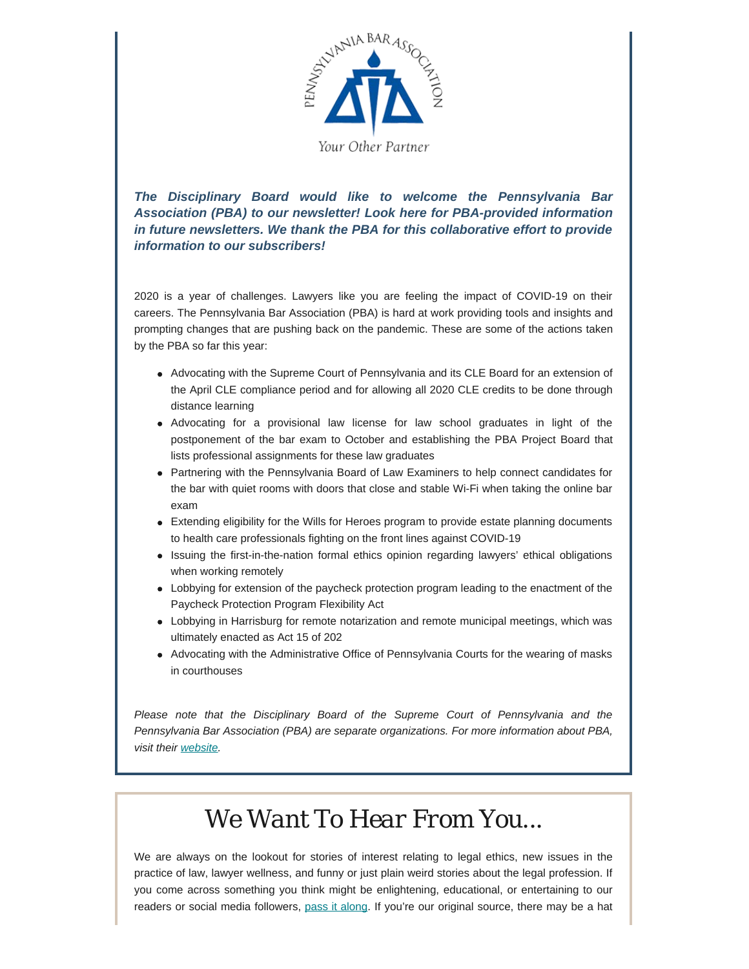

*The Disciplinary Board would like to welcome the Pennsylvania Bar Association (PBA) to our newsletter! Look here for PBA-provided information in future newsletters. We thank the PBA for this collaborative effort to provide information to our subscribers!*

2020 is a year of challenges. Lawyers like you are feeling the impact of COVID-19 on their careers. The Pennsylvania Bar Association (PBA) is hard at work providing tools and insights and prompting changes that are pushing back on the pandemic. These are some of the actions taken by the PBA so far this year:

- Advocating with the Supreme Court of Pennsylvania and its CLE Board for an extension of the April CLE compliance period and for allowing all 2020 CLE credits to be done through distance learning
- Advocating for a provisional law license for law school graduates in light of the postponement of the bar exam to October and establishing the PBA Project Board that lists professional assignments for these law graduates
- Partnering with the Pennsylvania Board of Law Examiners to help connect candidates for the bar with quiet rooms with doors that close and stable Wi-Fi when taking the online bar exam
- Extending eligibility for the Wills for Heroes program to provide estate planning documents to health care professionals fighting on the front lines against COVID-19
- Issuing the first-in-the-nation formal ethics opinion regarding lawyers' ethical obligations when working remotely
- Lobbying for extension of the paycheck protection program leading to the enactment of the Paycheck Protection Program Flexibility Act
- Lobbying in Harrisburg for remote notarization and remote municipal meetings, which was ultimately enacted as Act 15 of 202
- Advocating with the Administrative Office of Pennsylvania Courts for the wearing of masks in courthouses

*Please note that the Disciplinary Board of the Supreme Court of Pennsylvania and the Pennsylvania Bar Association (PBA) are separate organizations. For more information about PBA, visit their [website](https://www.pabar.org/site/).*

# *We Want To Hear From You...*

We are always on the lookout for stories of interest relating to legal ethics, new issues in the practice of law, lawyer wellness, and funny or just plain weird stories about the legal profession. If you come across something you think might be enlightening, educational, or entertaining to our readers or social media followers, [pass it along](mailto:dboard.news@pacourts.us). If you're our original source, there may be a hat